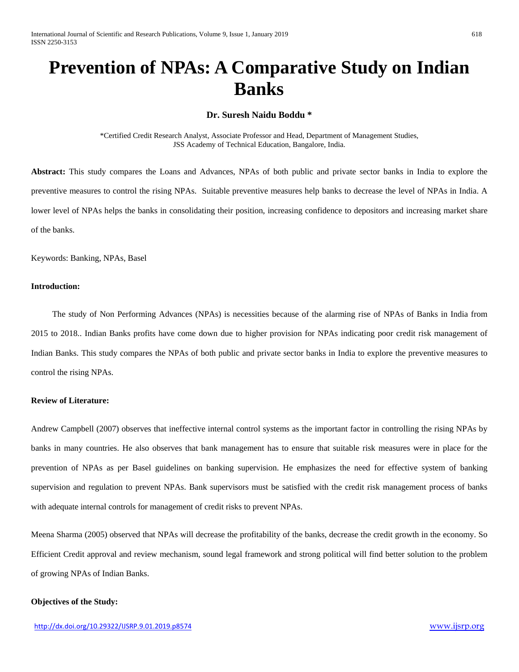# **Prevention of NPAs: A Comparative Study on Indian Banks**

# **Dr. Suresh Naidu Boddu \***

\*Certified Credit Research Analyst, Associate Professor and Head, Department of Management Studies, JSS Academy of Technical Education, Bangalore, India.

**Abstract:** This study compares the Loans and Advances, NPAs of both public and private sector banks in India to explore the preventive measures to control the rising NPAs. Suitable preventive measures help banks to decrease the level of NPAs in India. A lower level of NPAs helps the banks in consolidating their position, increasing confidence to depositors and increasing market share of the banks.

Keywords: Banking, NPAs, Basel

#### **Introduction:**

 The study of Non Performing Advances (NPAs) is necessities because of the alarming rise of NPAs of Banks in India from 2015 to 2018.. Indian Banks profits have come down due to higher provision for NPAs indicating poor credit risk management of Indian Banks. This study compares the NPAs of both public and private sector banks in India to explore the preventive measures to control the rising NPAs.

#### **Review of Literature:**

Andrew Campbell (2007) observes that ineffective internal control systems as the important factor in controlling the rising NPAs by banks in many countries. He also observes that bank management has to ensure that suitable risk measures were in place for the prevention of NPAs as per Basel guidelines on banking supervision. He emphasizes the need for effective system of banking supervision and regulation to prevent NPAs. Bank supervisors must be satisfied with the credit risk management process of banks with adequate internal controls for management of credit risks to prevent NPAs.

Meena Sharma (2005) observed that NPAs will decrease the profitability of the banks, decrease the credit growth in the economy. So Efficient Credit approval and review mechanism, sound legal framework and strong political will find better solution to the problem of growing NPAs of Indian Banks.

### **Objectives of the Study:**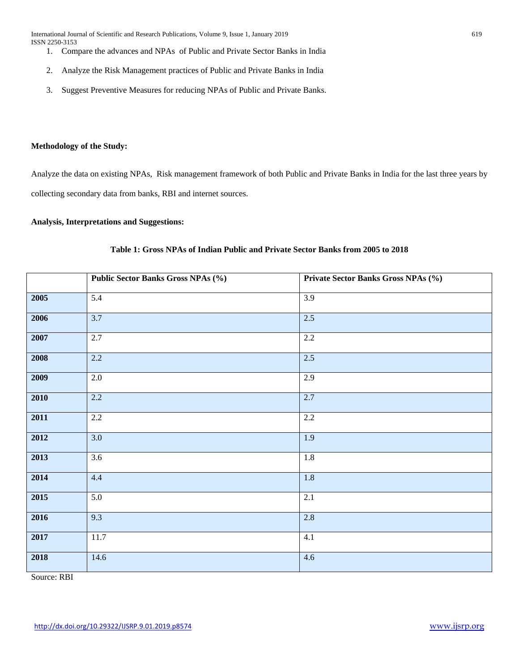- 1. Compare the advances and NPAs of Public and Private Sector Banks in India
- 2. Analyze the Risk Management practices of Public and Private Banks in India
- 3. Suggest Preventive Measures for reducing NPAs of Public and Private Banks.

# **Methodology of the Study:**

Analyze the data on existing NPAs, Risk management framework of both Public and Private Banks in India for the last three years by collecting secondary data from banks, RBI and internet sources.

# **Analysis, Interpretations and Suggestions:**

|      | <b>Public Sector Banks Gross NPAs (%)</b> | Private Sector Banks Gross NPAs (%) |  |  |
|------|-------------------------------------------|-------------------------------------|--|--|
|      |                                           |                                     |  |  |
| 2005 | 5.4                                       | 3.9                                 |  |  |
| 2006 | 3.7                                       | 2.5                                 |  |  |
| 2007 | 2.7                                       | 2.2                                 |  |  |
| 2008 | 2.2                                       | 2.5                                 |  |  |
| 2009 | 2.0                                       | 2.9                                 |  |  |
| 2010 | 2.2                                       | 2.7                                 |  |  |
| 2011 | 2.2                                       | 2.2                                 |  |  |
| 2012 | $\overline{3.0}$                          | 1.9                                 |  |  |
| 2013 | 3.6                                       | 1.8                                 |  |  |
| 2014 | 4.4                                       | 1.8                                 |  |  |
| 2015 | $\overline{5.0}$                          | 2.1                                 |  |  |
| 2016 | 9.3                                       | 2.8                                 |  |  |
| 2017 | 11.7                                      | 4.1                                 |  |  |
| 2018 | 14.6                                      | 4.6                                 |  |  |

# **Table 1: Gross NPAs of Indian Public and Private Sector Banks from 2005 to 2018**

Source: RBI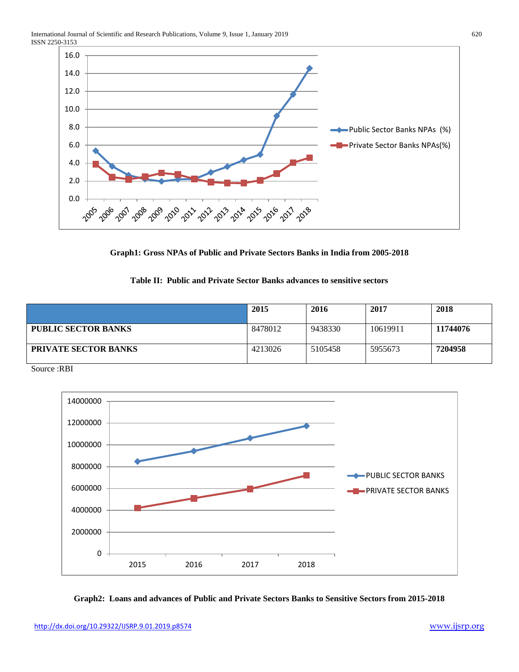

**Graph1: Gross NPAs of Public and Private Sectors Banks in India from 2005-2018**

# **Table II: Public and Private Sector Banks advances to sensitive sectors**

|                             | 2015    | 2016    | 2017     | 2018     |
|-----------------------------|---------|---------|----------|----------|
| <b>PUBLIC SECTOR BANKS</b>  | 8478012 | 9438330 | 10619911 | 11744076 |
| <b>PRIVATE SECTOR BANKS</b> | 4213026 | 5105458 | 5955673  | 7204958  |

Source :RBI



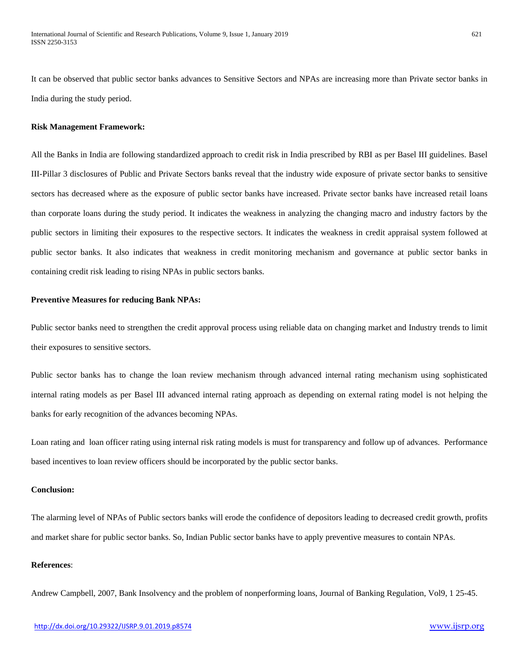It can be observed that public sector banks advances to Sensitive Sectors and NPAs are increasing more than Private sector banks in India during the study period.

# **Risk Management Framework:**

All the Banks in India are following standardized approach to credit risk in India prescribed by RBI as per Basel III guidelines. Basel III-Pillar 3 disclosures of Public and Private Sectors banks reveal that the industry wide exposure of private sector banks to sensitive sectors has decreased where as the exposure of public sector banks have increased. Private sector banks have increased retail loans than corporate loans during the study period. It indicates the weakness in analyzing the changing macro and industry factors by the public sectors in limiting their exposures to the respective sectors. It indicates the weakness in credit appraisal system followed at public sector banks. It also indicates that weakness in credit monitoring mechanism and governance at public sector banks in containing credit risk leading to rising NPAs in public sectors banks.

# **Preventive Measures for reducing Bank NPAs:**

Public sector banks need to strengthen the credit approval process using reliable data on changing market and Industry trends to limit their exposures to sensitive sectors.

Public sector banks has to change the loan review mechanism through advanced internal rating mechanism using sophisticated internal rating models as per Basel III advanced internal rating approach as depending on external rating model is not helping the banks for early recognition of the advances becoming NPAs.

Loan rating and loan officer rating using internal risk rating models is must for transparency and follow up of advances. Performance based incentives to loan review officers should be incorporated by the public sector banks.

# **Conclusion:**

The alarming level of NPAs of Public sectors banks will erode the confidence of depositors leading to decreased credit growth, profits and market share for public sector banks. So, Indian Public sector banks have to apply preventive measures to contain NPAs.

# **References**:

Andrew Campbell, 2007, Bank Insolvency and the problem of nonperforming loans, Journal of Banking Regulation, Vol9, 1 25-45.